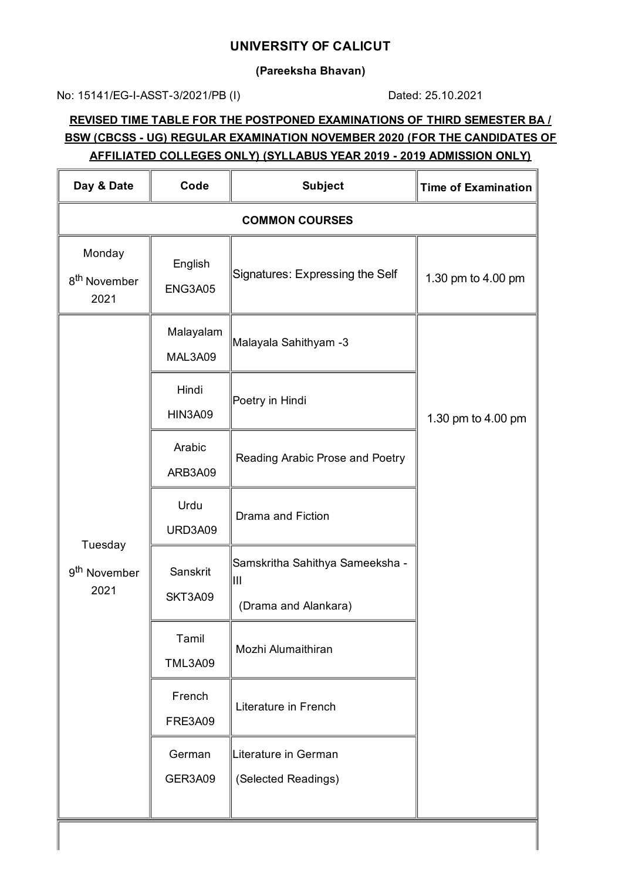#### **UNIVERSITY OF CALICUT**

**(Pareeksha Bhavan)**

No: 15141/EG-I-ASST-3/2021/PB (I) Dated: 25.10.2021

### **REVISED TIME TABLE FOR THE POSTPONED EXAMINATIONS OF THIRD SEMESTER BA / BSW (CBCSS - UG) REGULAR EXAMINATION NOVEMBER 2020 (FOR THE CANDIDATES OF AFFILIATED COLLEGES ONLY) (SYLLABUS YEAR 2019 - 2019 ADMISSION ONLY)**

| Day & Date                                  | Code                      | <b>Subject</b>                              | <b>Time of Examination</b> |
|---------------------------------------------|---------------------------|---------------------------------------------|----------------------------|
| <b>COMMON COURSES</b>                       |                           |                                             |                            |
| Monday<br>8 <sup>th</sup> November<br>2021  | English<br><b>ENG3A05</b> | Signatures: Expressing the Self             | 1.30 pm to 4.00 pm         |
| Tuesday<br>9 <sup>th</sup> November<br>2021 | Malayalam<br>MAL3A09      | Malayala Sahithyam -3                       |                            |
|                                             | Hindi<br><b>HIN3A09</b>   | Poetry in Hindi                             | 1.30 pm to 4.00 pm         |
|                                             | Arabic<br>ARB3A09         | Reading Arabic Prose and Poetry             |                            |
|                                             | Urdu<br>URD3A09           | Drama and Fiction                           |                            |
|                                             | Sanskrit<br>SKT3A09       | Samskritha Sahithya Sameeksha -<br>IШ       |                            |
|                                             |                           | (Drama and Alankara)                        |                            |
|                                             | Tamil<br><b>TML3A09</b>   | Mozhi Alumaithiran                          |                            |
|                                             | French<br><b>FRE3A09</b>  | Literature in French                        |                            |
|                                             | German<br>GER3A09         | Literature in German<br>(Selected Readings) |                            |
|                                             |                           |                                             |                            |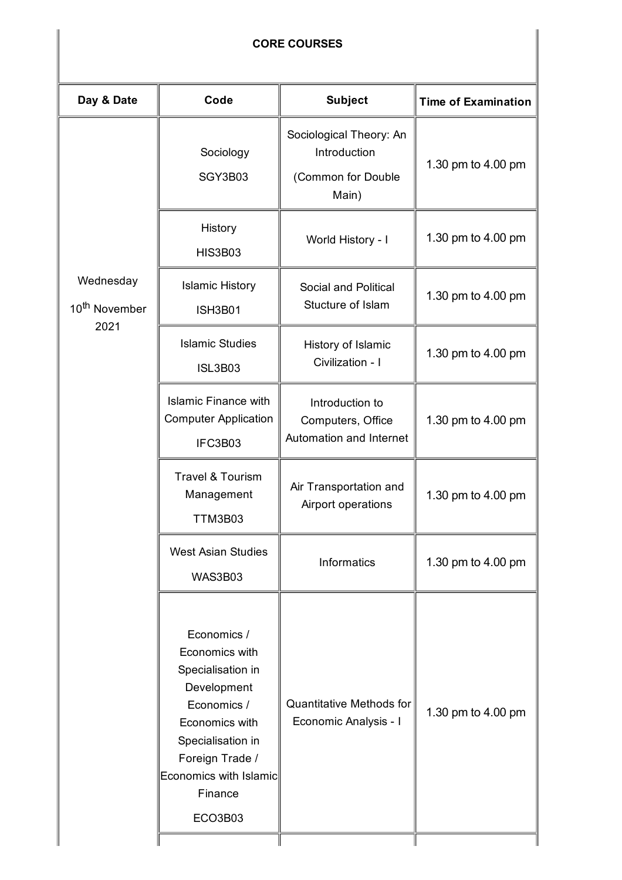## **CORE COURSES**

| Day & Date                                     | Code                                                                                                                                                                                       | <b>Subject</b>                                                         | <b>Time of Examination</b> |  |
|------------------------------------------------|--------------------------------------------------------------------------------------------------------------------------------------------------------------------------------------------|------------------------------------------------------------------------|----------------------------|--|
| Wednesday<br>10 <sup>th</sup> November<br>2021 | Sociology<br>SGY3B03                                                                                                                                                                       | Sociological Theory: An<br>Introduction<br>(Common for Double<br>Main) | 1.30 pm to 4.00 pm         |  |
|                                                | History<br><b>HIS3B03</b>                                                                                                                                                                  | World History - I                                                      | 1.30 pm to 4.00 pm         |  |
|                                                | <b>Islamic History</b><br><b>ISH3B01</b>                                                                                                                                                   | Social and Political<br>Stucture of Islam                              | 1.30 pm to 4.00 pm         |  |
|                                                | <b>Islamic Studies</b><br><b>ISL3B03</b>                                                                                                                                                   | History of Islamic<br>Civilization - I                                 | 1.30 pm to 4.00 pm         |  |
|                                                | <b>Islamic Finance with</b><br><b>Computer Application</b><br>IFC3B03                                                                                                                      | Introduction to<br>Computers, Office<br>Automation and Internet        | 1.30 pm to 4.00 pm         |  |
|                                                | <b>Travel &amp; Tourism</b><br>Management<br>TTM3B03                                                                                                                                       | Air Transportation and<br>Airport operations                           | 1.30 pm to 4.00 pm         |  |
|                                                | <b>West Asian Studies</b><br>WAS3B03                                                                                                                                                       | Informatics                                                            | 1.30 pm to 4.00 pm         |  |
|                                                | Economics /<br>Economics with<br>Specialisation in<br>Development<br>Economics /<br>Economics with<br>Specialisation in<br>Foreign Trade /<br>Economics with Islamic<br>Finance<br>ECO3B03 | <b>Quantitative Methods for</b><br>Economic Analysis - I               | 1.30 pm to 4.00 pm         |  |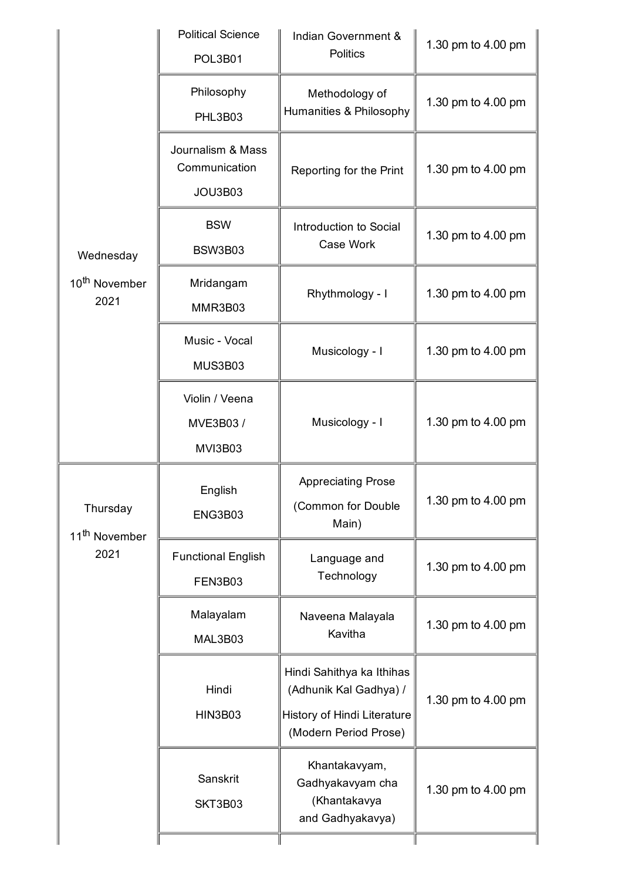| Wednesday<br>10 <sup>th</sup> November<br>2021<br>Thursday<br>11 <sup>th</sup> November<br>2021 | <b>Political Science</b><br>POL3B01           | Indian Government &<br><b>Politics</b>                                                                      | 1.30 pm to 4.00 pm |
|-------------------------------------------------------------------------------------------------|-----------------------------------------------|-------------------------------------------------------------------------------------------------------------|--------------------|
|                                                                                                 | Philosophy<br>PHL3B03                         | Methodology of<br>Humanities & Philosophy                                                                   | 1.30 pm to 4.00 pm |
|                                                                                                 | Journalism & Mass<br>Communication<br>JOU3B03 | Reporting for the Print                                                                                     | 1.30 pm to 4.00 pm |
|                                                                                                 | <b>BSW</b><br>BSW3B03                         | Introduction to Social<br>Case Work                                                                         | 1.30 pm to 4.00 pm |
|                                                                                                 | Mridangam<br>MMR3B03                          | Rhythmology - I                                                                                             | 1.30 pm to 4.00 pm |
|                                                                                                 | Music - Vocal<br>MUS3B03                      | Musicology - I                                                                                              | 1.30 pm to 4.00 pm |
|                                                                                                 | Violin / Veena<br>MVE3B03 /<br>MVI3B03        | Musicology - I                                                                                              | 1.30 pm to 4.00 pm |
|                                                                                                 | English<br>ENG3B03                            | <b>Appreciating Prose</b><br>(Common for Double<br>Main)                                                    | 1.30 pm to 4.00 pm |
|                                                                                                 | <b>Functional English</b><br>FEN3B03          | Language and<br>Technology                                                                                  | 1.30 pm to 4.00 pm |
|                                                                                                 | Malayalam<br>MAL3B03                          | Naveena Malayala<br>Kavitha                                                                                 | 1.30 pm to 4.00 pm |
|                                                                                                 | Hindi<br><b>HIN3B03</b>                       | Hindi Sahithya ka Ithihas<br>(Adhunik Kal Gadhya) /<br>History of Hindi Literature<br>(Modern Period Prose) | 1.30 pm to 4.00 pm |
|                                                                                                 | Sanskrit<br>SKT3B03                           | Khantakavyam,<br>Gadhyakavyam cha<br>(Khantakavya<br>and Gadhyakavya)                                       | 1.30 pm to 4.00 pm |
|                                                                                                 |                                               |                                                                                                             |                    |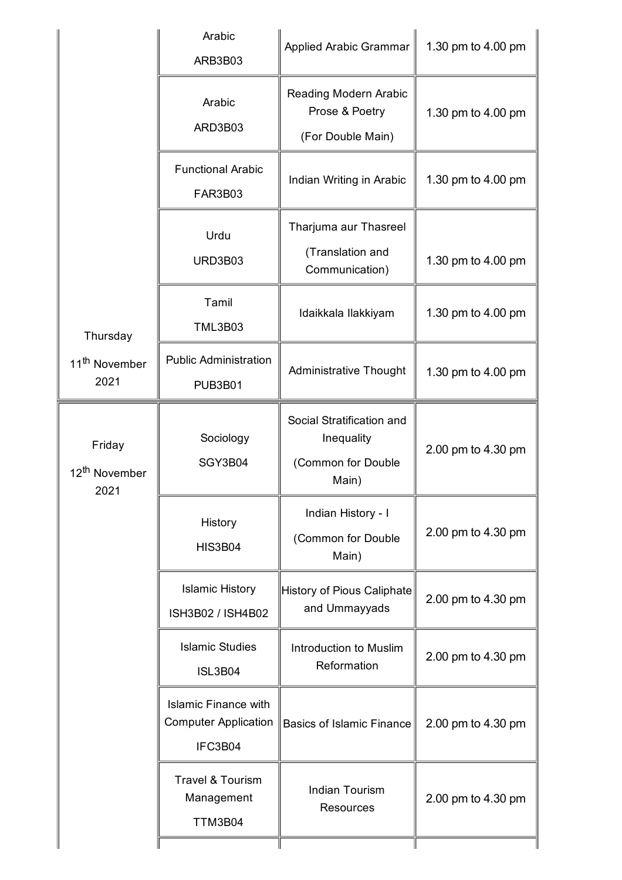| Thursday<br>11 <sup>th</sup> November<br>2021 | Arabic<br>ARB3B03                                                     | <b>Applied Arabic Grammar</b>                                          | 1.30 pm to 4.00 pm |
|-----------------------------------------------|-----------------------------------------------------------------------|------------------------------------------------------------------------|--------------------|
|                                               | Arabic<br>ARD3B03                                                     | <b>Reading Modern Arabic</b><br>Prose & Poetry<br>(For Double Main)    | 1.30 pm to 4.00 pm |
|                                               | <b>Functional Arabic</b><br><b>FAR3B03</b>                            | Indian Writing in Arabic                                               | 1.30 pm to 4.00 pm |
|                                               | Urdu<br>URD3B03                                                       | Tharjuma aur Thasreel<br>(Translation and<br>Communication)            | 1.30 pm to 4.00 pm |
|                                               | Tamil<br><b>TML3B03</b>                                               | Idaikkala Ilakkiyam                                                    | 1.30 pm to 4.00 pm |
|                                               | <b>Public Administration</b><br><b>PUB3B01</b>                        | <b>Administrative Thought</b>                                          | 1.30 pm to 4.00 pm |
| Friday<br>12 <sup>th</sup> November<br>2021   | Sociology<br>SGY3B04                                                  | Social Stratification and<br>Inequality<br>(Common for Double<br>Main) | 2.00 pm to 4.30 pm |
|                                               | History<br><b>HIS3B04</b>                                             | Indian History - I<br>(Common for Double<br>Main)                      | 2.00 pm to 4.30 pm |
|                                               | <b>Islamic History</b><br>ISH3B02 / ISH4B02                           | History of Pious Caliphate<br>and Ummayyads                            | 2.00 pm to 4.30 pm |
|                                               | <b>Islamic Studies</b><br><b>ISL3B04</b>                              | Introduction to Muslim<br>Reformation                                  | 2.00 pm to 4.30 pm |
|                                               | <b>Islamic Finance with</b><br><b>Computer Application</b><br>IFC3B04 | <b>Basics of Islamic Finance</b>                                       | 2.00 pm to 4.30 pm |
|                                               | <b>Travel &amp; Tourism</b><br>Management<br>TTM3B04                  | <b>Indian Tourism</b><br><b>Resources</b>                              | 2.00 pm to 4.30 pm |
|                                               |                                                                       |                                                                        |                    |